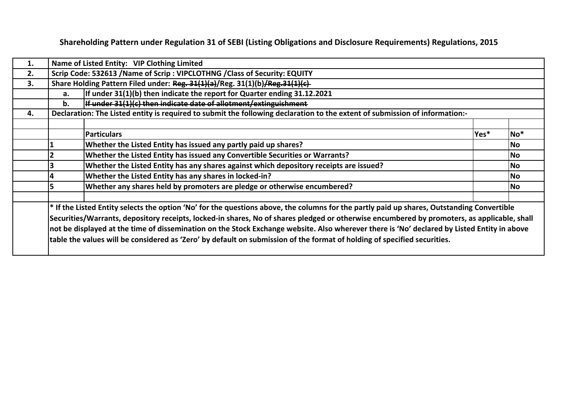**Shareholding Pattern under Regulation 31 of SEBI (Listing Obligations and Disclosure Requirements) Regulations, 2015**

| 1. |    | Name of Listed Entity: VIP Clothing Limited                                                                                                                                                                                                                                                                                                                                                                                                                                                                                                                             |      |                 |
|----|----|-------------------------------------------------------------------------------------------------------------------------------------------------------------------------------------------------------------------------------------------------------------------------------------------------------------------------------------------------------------------------------------------------------------------------------------------------------------------------------------------------------------------------------------------------------------------------|------|-----------------|
| 2. |    | Scrip Code: 532613 / Name of Scrip : VIPCLOTHNG / Class of Security: EQUITY                                                                                                                                                                                                                                                                                                                                                                                                                                                                                             |      |                 |
| 3. |    | Share Holding Pattern Filed under: Reg. 31(1)(a)/Reg. 31(1)(b)/Reg. 31(1)(c)                                                                                                                                                                                                                                                                                                                                                                                                                                                                                            |      |                 |
|    | a. | If under 31(1)(b) then indicate the report for Quarter ending 31.12.2021                                                                                                                                                                                                                                                                                                                                                                                                                                                                                                |      |                 |
|    | b. | If under 31(1)(c) then indicate date of allotment/extinguishment                                                                                                                                                                                                                                                                                                                                                                                                                                                                                                        |      |                 |
| 4. |    | Declaration: The Listed entity is required to submit the following declaration to the extent of submission of information:-                                                                                                                                                                                                                                                                                                                                                                                                                                             |      |                 |
|    |    |                                                                                                                                                                                                                                                                                                                                                                                                                                                                                                                                                                         |      |                 |
|    |    | <b>Particulars</b>                                                                                                                                                                                                                                                                                                                                                                                                                                                                                                                                                      | Yes* | No <sup>*</sup> |
|    |    | Whether the Listed Entity has issued any partly paid up shares?                                                                                                                                                                                                                                                                                                                                                                                                                                                                                                         |      | <b>No</b>       |
|    |    | Whether the Listed Entity has issued any Convertible Securities or Warrants?                                                                                                                                                                                                                                                                                                                                                                                                                                                                                            |      | <b>No</b>       |
|    |    | Whether the Listed Entity has any shares against which depository receipts are issued?                                                                                                                                                                                                                                                                                                                                                                                                                                                                                  |      | No.             |
|    |    | Whether the Listed Entity has any shares in locked-in?                                                                                                                                                                                                                                                                                                                                                                                                                                                                                                                  |      | No.             |
|    |    | Whether any shares held by promoters are pledge or otherwise encumbered?                                                                                                                                                                                                                                                                                                                                                                                                                                                                                                |      | <b>No</b>       |
|    |    | $ *$ If the Listed Entity selects the option 'No' for the questions above, the columns for the partly paid up shares, Outstanding Convertible<br>Securities/Warrants, depository receipts, locked-in shares, No of shares pledged or otherwise encumbered by promoters, as applicable, shall<br>not be displayed at the time of dissemination on the Stock Exchange website. Also wherever there is 'No' declared by Listed Entity in above<br>table the values will be considered as 'Zero' by default on submission of the format of holding of specified securities. |      |                 |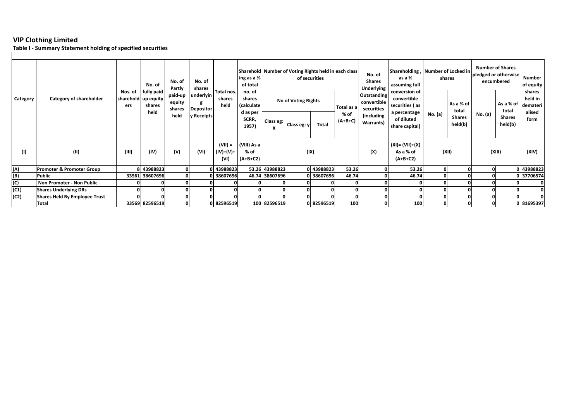**Table I ‐ Summary Statement holding of specified securities**

|          |                                      |                                         | No. of                       | No. of<br>Partly            | No. of<br>shares              |                                | $\ln g$ as a %<br>of total        | Sharehold Number of Voting Rights held in each class    |             | of securities |                   | No. of<br><b>Shares</b><br><b>Underlying</b>    | as a %<br>assuming full                                        | Shareholding, Number of Locked in<br>shares |                          | <b>Number of Shares</b><br>pledged or otherwise<br>encumbered | Number<br>of equity      |                                         |
|----------|--------------------------------------|-----------------------------------------|------------------------------|-----------------------------|-------------------------------|--------------------------------|-----------------------------------|---------------------------------------------------------|-------------|---------------|-------------------|-------------------------------------------------|----------------------------------------------------------------|---------------------------------------------|--------------------------|---------------------------------------------------------------|--------------------------|-----------------------------------------|
| Category | Category of shareholder              | Nos. of<br>sharehold   up equity<br>ers | fully paid<br>shares<br>held | paid-up<br>equity<br>shares | underlyin<br><b>Depositor</b> | Total nos.<br>shares<br>held   | shares                            | no. of<br>No of Voting Rights<br>(calculate<br>d as per |             |               | Total as a        | <b>Outstanding</b><br>convertible<br>securities | conversion of<br>convertible<br>securities (as<br>a percentage |                                             | As a % of<br>total       |                                                               | As a % of<br>total       | shares<br>held in<br>demateri<br>alised |
|          |                                      |                                         |                              | held                        | y Receipts                    |                                | SCRR,<br>1957)                    | Class eg:                                               | Class eg: y | <b>Total</b>  | % of<br>$(A+B+C)$ | (including<br>Warrants)                         | of diluted<br>share capital)                                   | No. (a)                                     | <b>Shares</b><br>held(b) | No. (a)                                                       | <b>Shares</b><br>held(b) | form                                    |
| (1)      | (II)                                 | (III)                                   | (IV)                         | (V)                         | (VI)                          | $(VII) =$<br>(IV)+(V)+<br>(VI) | (VIII) As a<br>% of<br>$(A+B+C2)$ |                                                         |             | (IX)          |                   | (X)                                             | (XI)= (VII)+(X)<br>As a % of<br>$(A+B+C2)$                     |                                             | (XII)                    |                                                               | (XIII)                   | (XIV)                                   |
| (A)      | <b>Promoter &amp; Promoter Group</b> |                                         | 8 43988823                   |                             |                               | 43988823                       |                                   | 53.26 43988823                                          |             | 0 43988823    | 53.26             |                                                 | 53.26                                                          |                                             |                          | οI                                                            |                          | 0 43988823                              |
| (B)      | Public                               |                                         | 33561 38607696               |                             |                               | 0 38607696                     |                                   | 46.74 38607696                                          |             | 0 38607696    | 46.74             |                                                 | 46.74                                                          |                                             |                          |                                                               |                          | 0 37706574                              |
| (C)      | Non Promoter - Non Public            |                                         |                              |                             |                               |                                |                                   |                                                         |             |               |                   |                                                 |                                                                |                                             |                          |                                                               |                          |                                         |
| (C1)     | <b>Shares Underlying DRs</b>         |                                         |                              |                             |                               |                                |                                   |                                                         |             |               |                   |                                                 |                                                                |                                             |                          |                                                               |                          |                                         |
| (C2)     | Shares Held By Employee Trust        |                                         |                              |                             |                               |                                |                                   |                                                         |             |               |                   |                                                 |                                                                |                                             |                          |                                                               |                          |                                         |
|          | Total                                |                                         | 33569 82596519               | $\mathbf{0}$                |                               | 0 82596519                     |                                   | 100 82596519                                            |             | 0 82596519    | 100               |                                                 | 100                                                            |                                             |                          | $\mathbf{0}$                                                  |                          | 0 81695397                              |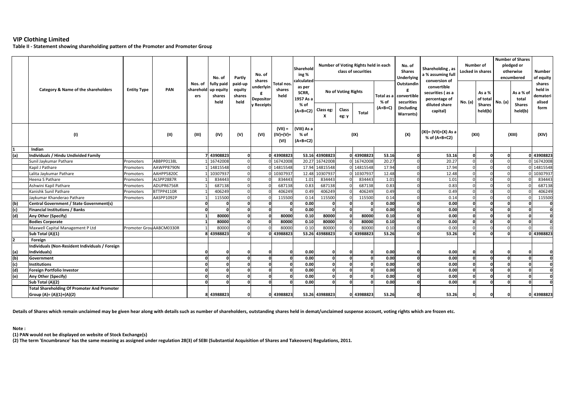**Table II ‐ Statement showing shareholding pattern of the Promoter and Promoter Group**

|              |                                                                                |                          |            |                             | No. of                                    | Partly<br>paid-up        | No. of<br>shares<br>underlyin<br>g<br>Depositor<br>y Receipts | Total nos.                       | Sharehold<br>ing %<br>calculated     | Number of Voting Rights held in each<br>class of securities |                |              |           | No. of<br><b>Shares</b><br>Underlying              | Shareholding, as<br>a % assuming full<br>conversion of            | Number of<br>Locked in shares |                                     | <b>Number of Shares</b><br>pledged or<br>otherwise<br>encumbered |                                     | Number<br>of equity                     |
|--------------|--------------------------------------------------------------------------------|--------------------------|------------|-----------------------------|-------------------------------------------|--------------------------|---------------------------------------------------------------|----------------------------------|--------------------------------------|-------------------------------------------------------------|----------------|--------------|-----------|----------------------------------------------------|-------------------------------------------------------------------|-------------------------------|-------------------------------------|------------------------------------------------------------------|-------------------------------------|-----------------------------------------|
|              | Category & Name of the shareholders                                            | <b>Entity Type</b>       | PAN        | Nos. of<br>sharehold<br>ers | fully paid<br>up equity<br>shares<br>held | equity<br>shares<br>held |                                                               | shares<br>held                   | as per<br>SCRR,<br>1957 As a<br>% of | <b>No of Voting Rights</b>                                  |                |              | % of      | Outstandin<br>Total as a convertible<br>securities | convertible<br>securities (as a<br>percentage of<br>diluted share | No. (a)                       | As a %<br>of total<br><b>Shares</b> | No. (a)                                                          | As a % of<br>total<br><b>Shares</b> | shares<br>held in<br>demateri<br>alised |
|              |                                                                                |                          |            |                             |                                           |                          |                                                               |                                  | $(A+B+C2)$                           | Class eg:<br>x                                              | Class<br>eg: y | <b>Total</b> | $(A+B+C)$ | (including<br>Warrants)                            | capital)                                                          |                               | held(b)                             |                                                                  | held(b)                             | form                                    |
|              | (1)                                                                            |                          | (II)       | (III)                       | (IV)                                      | (V)                      | (VI)                                                          | $(VII) =$<br>$(IV)+(V)+$<br>(VI) | (VIII) As a<br>% of<br>$(A+B+C2)$    |                                                             | (IX)           |              |           | (X)                                                | (XI)= (VII)+(X) As a<br>% of (A+B+C2)                             | (XII)                         |                                     |                                                                  | (XIII)                              | (XIV)                                   |
| $\mathbf{1}$ | Indian                                                                         |                          |            |                             |                                           |                          |                                                               |                                  |                                      |                                                             |                |              |           |                                                    |                                                                   |                               |                                     |                                                                  |                                     |                                         |
| (a)          | Individuals / Hindu Undivided Family                                           |                          |            |                             | 7 43908823                                | <b>n</b>                 |                                                               | 0 43908823                       |                                      | 53.16 43908823                                              |                | 43908823     | 53.16     | $\Omega$                                           | 53.16                                                             |                               | $\Omega$                            | $\Omega$                                                         |                                     | 0 43908823                              |
|              | Sunil Jaykumar Pathare                                                         | Promoters                | ABBPP0138L |                             | 1 16742008                                | $\mathbf 0$              |                                                               | 0 16742008                       |                                      | 20.27 16742008                                              |                | 16742008     | 20.27     | $\Omega$                                           | 20.27                                                             |                               | $\Omega$                            |                                                                  |                                     | 0 16742008                              |
|              | Kapil J Pathare                                                                | Promoters                | AAWPP8790N |                             | 14815548                                  | $\Omega$                 |                                                               | 0 14815548                       |                                      | 17.94 14815548                                              |                | 14815548     | 17.94     |                                                    | 17.94                                                             |                               | $\Omega$                            |                                                                  |                                     | 0 14815548                              |
|              | Lalita Jaykumar Pathare                                                        | Promoters                | AAHPP5820C |                             | 10307937                                  | $\Omega$                 |                                                               | 10307937                         |                                      | 12.48 10307937                                              |                | 10307937     | 12.48     |                                                    | 12.48                                                             |                               | $\Omega$                            |                                                                  |                                     | 0 10307937                              |
|              | Heena S Pathare                                                                | Promoters                | ALSPP2887R |                             | 834443                                    | $\mathbf 0$              |                                                               | 834443                           | 1.01                                 | 834443                                                      |                | 834443       | 1.01      | $\Omega$                                           | 1.01                                                              | $\Omega$                      | $\Omega$                            |                                                                  |                                     | 834443                                  |
|              | Ashwini Kapil Pathare                                                          | Promoters                | ADUPR6756R |                             | 687138                                    | $\Omega$                 |                                                               | 687138                           | 0.83                                 | 687138                                                      |                | 687138       | 0.83      | $\Omega$                                           | 0.83                                                              |                               | $\Omega$                            |                                                                  |                                     | 687138                                  |
|              | Kanishk Sunil Pathare                                                          | Promoters                | BTTPP4110R |                             | 406249                                    | $\mathbf 0$              |                                                               | 406249                           | 0.49                                 | 406249                                                      |                | 406249       | 0.49      | O                                                  | 0.49                                                              |                               | $\Omega$                            |                                                                  |                                     | 406249                                  |
|              | Jaykumar Khanderao Pathare                                                     | Promoters                | AASPP1092P |                             | 115500                                    | $\Omega$                 |                                                               | 115500                           | 0.14                                 | 115500                                                      |                | 115500       | 0.14      | $\Omega$                                           | 0.14                                                              |                               | $\Omega$                            |                                                                  |                                     | 115500                                  |
| (b)          | <b>Central Government / State Government(s)</b>                                |                          |            |                             |                                           | $\mathbf{0}$             |                                                               | n                                | 0.00                                 | $\Omega$                                                    |                |              | 0.00      | οl                                                 | 0.00                                                              |                               | $\Omega$                            | 0.                                                               | $\Omega$                            | $\mathbf 0$                             |
| (c)          | <b>Financial Institutions / Banks</b>                                          |                          |            |                             |                                           | $\Omega$                 |                                                               |                                  | 0.00                                 | $\Omega$                                                    |                |              | 0.00      | 0                                                  | 0.00                                                              |                               | $\Omega$                            | $\Omega$                                                         | $\Omega$                            | $\mathbf 0$                             |
| (d)          | Any Other (Specify)                                                            |                          |            |                             | 80000                                     | 0                        | $\Omega$                                                      | 80000                            | 0.10                                 | 80000                                                       |                | 80000        | 0.10      | $\Omega$                                           | 0.00                                                              |                               | $\Omega$                            | $\Omega$                                                         | $\mathbf{0}$                        | $\mathbf{0}$                            |
|              | <b>Bodies Corporate</b>                                                        |                          |            |                             | 80000                                     | o                        |                                                               | 80000                            | 0.10                                 | 80000                                                       |                | 80000        | 0.10      | $\mathbf{0}$                                       | 0.00                                                              |                               | $\Omega$                            | $\Omega$                                                         | $\Omega$                            | $\mathbf 0$                             |
|              | Maxwell Capital Management P Ltd                                               | Promoter Grou AABCM0330R |            |                             | 80000                                     | $\mathbf 0$              |                                                               | 80000                            | 0.10                                 | 80000                                                       |                | 80000        | 0.10      | $\Omega$                                           | 0.00                                                              |                               | $\Omega$                            | $\Omega$                                                         | $\Omega$                            | $\Omega$                                |
|              | Sub Total (A)(1)                                                               |                          |            |                             | 8 43988823                                | $\mathbf{a}$             |                                                               | 43988823                         |                                      | 53.26 43988823                                              |                | 43988823     | 53.26     | $\Omega$                                           | 53.26                                                             |                               | $\Omega$                            |                                                                  |                                     | 0 43988823                              |
| 2            | Foreign                                                                        |                          |            |                             |                                           |                          |                                                               |                                  |                                      |                                                             |                |              |           |                                                    |                                                                   |                               |                                     |                                                                  |                                     |                                         |
|              | Individuals (Non-Resident Individuals / Foreign                                |                          |            |                             |                                           |                          |                                                               |                                  |                                      |                                                             |                |              |           |                                                    |                                                                   |                               |                                     |                                                                  |                                     |                                         |
| (a)          | Individuals)                                                                   |                          |            |                             |                                           |                          |                                                               |                                  | 0.00                                 |                                                             |                |              | 0.00      | $\Omega$                                           | 0.00                                                              |                               | $\Omega$                            |                                                                  |                                     |                                         |
| (b)          | Government                                                                     |                          |            |                             | $\Omega$                                  | $\Omega$                 | $\Omega$                                                      | $\Omega$                         | 0.00                                 | $\Omega$                                                    |                |              | 0.00      | $\mathbf{0}$                                       | 0.00                                                              |                               | $\Omega$                            | $\Omega$                                                         | $\Omega$                            | $\mathbf{0}$                            |
| (c)          | <b>Institutions</b>                                                            |                          |            |                             | $\Omega$                                  | $\mathbf{0}$             | $\Omega$                                                      | $\Omega$                         | 0.00                                 | $\Omega$                                                    |                |              | 0.00      | $\mathbf{0}$                                       | 0.00                                                              |                               | $\Omega$                            | $\Omega$                                                         | $\Omega$                            | $\mathbf{o}$                            |
| (d)          | Foreign Portfolio Investor                                                     |                          |            |                             | $\Omega$                                  | $\Omega$                 | $\Omega$                                                      |                                  | 0.00                                 |                                                             |                |              | 0.00      | $\Omega$                                           | 0.00                                                              |                               | $\Omega$                            | $\Omega$                                                         | $\Omega$                            | $\Omega$                                |
| (e)          | Any Other (Specify)                                                            |                          |            |                             | $\Omega$                                  | $\Omega$                 | $\Omega$                                                      | $\Omega$                         | 0.00                                 | $\Omega$                                                    |                |              | 0.00      | $\mathbf{0}$                                       | 0.00                                                              |                               | $\Omega$                            | $\Omega$                                                         | <sub>0</sub>                        | $\Omega$                                |
|              | Sub Total (A)(2)                                                               |                          |            |                             |                                           | n                        |                                                               |                                  | 0.00                                 |                                                             |                |              | 0.00      | $\Omega$                                           | 0.00                                                              |                               |                                     |                                                                  |                                     |                                         |
|              | <b>Total Shareholding Of Promoter And Promoter</b><br>Group (A)= (A)(1)+(A)(2) |                          |            |                             | 8 43988823                                |                          |                                                               | 0 43988823                       |                                      | 53.26 43988823                                              |                | 43988823     | 53.26     | $\Omega$                                           | 53.26                                                             |                               |                                     |                                                                  |                                     | 0 43988823                              |

**Details of Shares which remain unclaimed may be given hear along with details such as number of shareholders, outstanding shares held in demat/unclaimed suspense account, voting rights which are frozen etc.**

**Note :**

**(1) PAN would not be displayed on website of Stock Exchange(s)** 

**(2) The term 'Encumbrance' has the same meaning as assigned under regulation 28(3) of SEBI (Substantial Acquisition of Shares and Takeovers) Regulations, 2011.**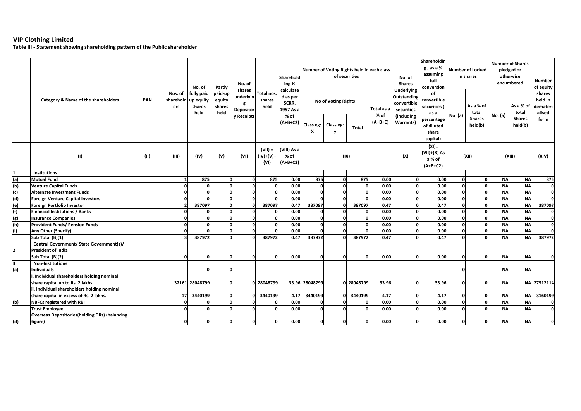**Table III ‐ Statement showing shareholding pattern of the Public shareholder**

|                | No. of<br>No. of<br>Partly<br>shares<br>fully paid<br>Nos. of<br>paid-up<br>underlyin<br>PAN<br>sharehold<br>up equity<br>equity<br>Category & Name of the shareholders<br>g<br>shares<br>shares<br>ers |      |       | Sharehold<br>ing %<br>calculate | Number of Voting Rights held in each class | of securities           |                                    |                                        | No. of<br><b>Shares</b> | Shareholdin<br>g , as a $\%$<br>assuming<br>full<br>conversion | <b>Number of Locked</b><br>in shares |                                                    | <b>Number of Shares</b><br>pledged or<br>otherwise<br>encumbered            |                                                                                            | <b>Number</b><br>of equity |                          |           |                                                |                                         |
|----------------|---------------------------------------------------------------------------------------------------------------------------------------------------------------------------------------------------------|------|-------|---------------------------------|--------------------------------------------|-------------------------|------------------------------------|----------------------------------------|-------------------------|----------------------------------------------------------------|--------------------------------------|----------------------------------------------------|-----------------------------------------------------------------------------|--------------------------------------------------------------------------------------------|----------------------------|--------------------------|-----------|------------------------------------------------|-----------------------------------------|
|                |                                                                                                                                                                                                         |      |       | held                            | held                                       | Depositor<br>y Receipts | <b>Total nos</b><br>shares<br>held | d as per<br>SCRR,<br>1957 As a<br>% of |                         | <b>No of Voting Rights</b>                                     |                                      | Total as a<br>% of                                 | <b>Underlying</b><br>Outstanding<br>convertible<br>securities<br>(including | of<br>convertible<br>securities (<br>as a<br>percentage<br>of diluted<br>share<br>capital) | No. (a)                    | As a % of<br>total       | No. (a)   | As a % of<br>total<br><b>Shares</b><br>held(b) | shares<br>held in<br>demateri<br>alised |
|                |                                                                                                                                                                                                         |      |       |                                 |                                            |                         |                                    | $(A+B+C2)$                             | Class eg:<br>x          | Class eg:<br>y                                                 | <b>Total</b>                         | $(A+B+C)$                                          | Warrants)                                                                   |                                                                                            |                            | <b>Shares</b><br>held(b) |           |                                                | form                                    |
|                | (1)                                                                                                                                                                                                     | (II) | (III) | (IV)                            | (V)                                        | (VI)                    | $(VII) =$<br>$(IV)+(V)+$<br>(VI)   | (VIII) As a<br>% of<br>(A+B+C2)        | (IX)                    |                                                                | (X)                                  | $(XI) =$<br>$(VII)+(X)$ As<br>a % of<br>$(A+B+C2)$ |                                                                             | (XII)                                                                                      | (XIII)                     |                          | (XIV)     |                                                |                                         |
| 1              | <b>Institutions</b>                                                                                                                                                                                     |      |       |                                 |                                            |                         |                                    |                                        |                         |                                                                |                                      |                                                    |                                                                             |                                                                                            |                            |                          |           |                                                |                                         |
| (a)            | <b>Mutual Fund</b>                                                                                                                                                                                      |      |       | 875                             | $\Omega$                                   | $\Omega$                | 875                                | 0.00                                   | 875                     | O                                                              | 875                                  | 0.00                                               | $\Omega$                                                                    | 0.00                                                                                       | $\Omega$                   | O                        | <b>NA</b> | <b>NA</b>                                      | 875                                     |
| (b)            | <b>Venture Capital Funds</b>                                                                                                                                                                            |      | n     | $\Omega$                        | 0                                          | $\Omega$                | $\mathbf{0}$                       | 0.00                                   | 0                       | $\mathbf{r}$                                                   | $\Omega$                             | 0.00                                               |                                                                             | 0.00                                                                                       | $\mathbf{0}$               | <sub>0</sub>             | <b>NA</b> | <b>NA</b>                                      | 0                                       |
| (c)            | <b>Alternate Investment Funds</b>                                                                                                                                                                       |      |       | $\Omega$                        | $\mathbf{0}$                               | O                       | $\Omega$                           | 0.00                                   | 0                       | $\mathbf{r}$                                                   | n                                    | 0.00                                               |                                                                             | 0.00                                                                                       | $\mathbf 0$                | $\Omega$                 | <b>NA</b> | <b>NA</b>                                      | $\mathbf{0}$                            |
| (d)            | <b>Foreign Venture Capital Investors</b>                                                                                                                                                                |      |       | $\Omega$                        | $\mathbf{0}$                               | $\Omega$                | $\Omega$                           | 0.00                                   | O                       | $\mathbf{r}$                                                   |                                      | 0.00                                               |                                                                             | 0.00                                                                                       | $\mathbf{0}$               | $\mathbf{0}$             | <b>NA</b> | <b>NA</b>                                      | $\Omega$                                |
| (e)            | Foreign Portfolio Investor                                                                                                                                                                              |      |       | 387097                          | $\overline{0}$                             |                         | 387097                             | 0.47                                   | 387097                  | $\Omega$                                                       | 387097                               | 0.47                                               |                                                                             | 0.47                                                                                       | $\mathbf{0}$               | $\mathbf{0}$             | <b>NA</b> | <b>NA</b>                                      | 387097                                  |
| (f)            | Financial Institutions / Banks                                                                                                                                                                          |      |       | $\Omega$                        | $\mathbf{0}$                               |                         | $\Omega$                           | 0.00                                   | $\Omega$                |                                                                |                                      | 0.00                                               |                                                                             | 0.00                                                                                       | $\Omega$                   | $\Omega$                 | <b>NA</b> | <b>NA</b>                                      | $\mathbf{0}$                            |
| (g)            | <b>Insurance Companies</b>                                                                                                                                                                              |      | n     | $\Omega$                        | $\mathbf{0}$                               | O                       | $\Omega$                           | 0.00                                   | $\mathbf{0}$            | $\mathbf{r}$                                                   | $\mathbf{r}$                         | 0.00                                               |                                                                             | 0.00                                                                                       | $\Omega$                   | $\Omega$                 | <b>NA</b> | <b>NA</b>                                      | $\overline{0}$                          |
| (h)            | <b>Provident Funds/ Pension Funds</b>                                                                                                                                                                   |      |       | $\Omega$                        | 0                                          | O                       | $\Omega$                           | 0.00                                   | 0                       | O                                                              |                                      | 0.00                                               |                                                                             | 0.00                                                                                       | $\mathbf{0}$               | $\Omega$                 | <b>NA</b> | <b>NA</b>                                      | $\Omega$                                |
| (i)            | Any Other (Specify)                                                                                                                                                                                     |      |       |                                 | $\mathbf{0}$                               |                         | $\Omega$                           | 0.00                                   | - 0                     | $\mathsf{C}$                                                   |                                      | 0.00                                               |                                                                             | 0.00                                                                                       | $\Omega$                   | O                        | <b>NA</b> | <b>NA</b>                                      | $\Omega$                                |
|                | Sub Total (B)(1)                                                                                                                                                                                        |      |       | 387972                          | $\mathbf{0}$                               |                         | 387972                             | 0.47                                   | 387972                  | - 0                                                            | 387972                               | 0.47                                               |                                                                             | 0.47                                                                                       | $\mathbf{0}$               | $\Omega$                 | <b>NA</b> | <b>NA</b>                                      | 387972                                  |
|                | Central Government/ State Government(s)/                                                                                                                                                                |      |       |                                 |                                            |                         |                                    |                                        |                         |                                                                |                                      |                                                    |                                                                             |                                                                                            |                            |                          |           |                                                |                                         |
| $\overline{2}$ | <b>President of India</b>                                                                                                                                                                               |      |       |                                 |                                            |                         |                                    |                                        |                         |                                                                |                                      |                                                    |                                                                             |                                                                                            |                            |                          |           |                                                |                                         |
|                | Sub Total (B)(2)                                                                                                                                                                                        |      |       | $\Omega$                        | $\mathbf{0}$                               | $\Omega$                | $\mathbf{a}$                       | 0.00                                   | O                       | $\Omega$                                                       |                                      | 0.00                                               |                                                                             | 0.00                                                                                       | $\mathbf{0}$               | $\Omega$                 | <b>NA</b> | <b>NA</b>                                      |                                         |
| 3              | <b>Non-Institutions</b>                                                                                                                                                                                 |      |       |                                 |                                            |                         |                                    |                                        |                         |                                                                |                                      |                                                    |                                                                             |                                                                                            |                            |                          |           |                                                |                                         |
| (a)            | <b>Individuals</b>                                                                                                                                                                                      |      |       | O                               | $\mathbf{0}$                               |                         |                                    |                                        |                         |                                                                |                                      |                                                    |                                                                             |                                                                                            | $\mathbf{0}$               |                          | <b>NA</b> | <b>NA</b>                                      |                                         |
|                | . Individual shareholders holding nominal                                                                                                                                                               |      |       |                                 |                                            |                         |                                    |                                        |                         |                                                                |                                      |                                                    |                                                                             |                                                                                            |                            |                          |           |                                                |                                         |
|                | share capital up to Rs. 2 lakhs.                                                                                                                                                                        |      |       | 32161 28048799                  | $\mathbf{0}$                               |                         | 0 28048799                         |                                        | 33.96 28048799          | ŋ                                                              | 28048799                             | 33.96                                              |                                                                             | 33.96                                                                                      | $\mathbf 0$                | n                        | <b>NA</b> |                                                | NA 27512114                             |
|                | ii. Individual shareholders holding nominal                                                                                                                                                             |      |       |                                 |                                            |                         |                                    |                                        |                         |                                                                |                                      |                                                    |                                                                             |                                                                                            |                            |                          |           |                                                |                                         |
|                | share capital in excess of Rs. 2 lakhs.                                                                                                                                                                 |      | 17    | 3440199                         | $\mathbf 0$                                |                         | 3440199                            | 4.17                                   | 3440199                 |                                                                | 3440199                              | 4.17                                               |                                                                             | 4.17                                                                                       | $\mathbf 0$                | O                        | <b>NA</b> | <b>NA</b>                                      | 3160199                                 |
| (b)            | <b>NBFCs registered with RBI</b>                                                                                                                                                                        |      | n     | $\Omega$                        | $\mathbf{0}$                               |                         | $\Omega$                           | 0.00                                   | 0                       | $\mathsf{C}$                                                   |                                      | 0.00                                               |                                                                             | 0.00                                                                                       | $\mathbf 0$                | $\Omega$                 | <b>NA</b> | <b>NA</b>                                      | $\Omega$                                |
|                | <b>Trust Employee</b>                                                                                                                                                                                   |      | n     | $\Omega$                        | $\mathbf{0}$                               |                         | $\Omega$                           | 0.00                                   | 0                       | O                                                              |                                      | 0.00                                               |                                                                             | 0.00                                                                                       | $\Omega$                   | $\Omega$                 | <b>NA</b> | <b>NA</b>                                      | <sub>0</sub>                            |
|                | <b>Overseas Depositories (holding DRs) (balancing</b>                                                                                                                                                   |      |       |                                 |                                            |                         |                                    |                                        |                         |                                                                |                                      |                                                    |                                                                             |                                                                                            |                            |                          |           |                                                |                                         |
| (d)            | figure)                                                                                                                                                                                                 |      |       |                                 | ŋ                                          |                         | $\Omega$                           | 0.00                                   | $\Omega$                |                                                                |                                      | 0.00                                               |                                                                             | 0.00                                                                                       | $\Omega$                   | $\Omega$                 | <b>NA</b> | <b>NA</b>                                      |                                         |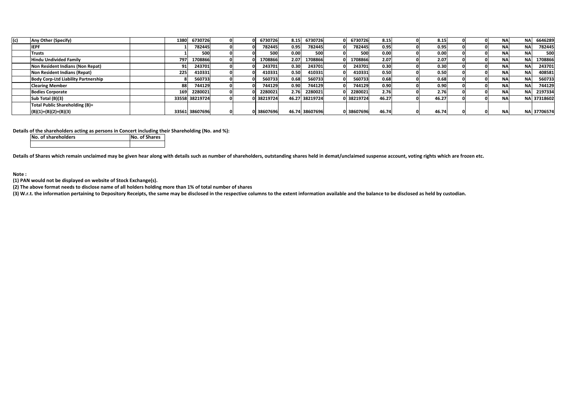| (c) | Any Other (Specify)                        | 1380  | 6730726        |  | 6730726    | 8.15 | 6730726        | 6730726    | 8.15              | 8.15  |  | <b>NA</b> | <b>NA</b>  | 6646289     |
|-----|--------------------------------------------|-------|----------------|--|------------|------|----------------|------------|-------------------|-------|--|-----------|------------|-------------|
|     | <b>IEPF</b>                                |       | 782445         |  | 782445     | 0.95 | 782445         | 782445     | 0.95              | 0.95  |  | <b>NA</b> | <b>NAI</b> | 782445      |
|     | Trusts                                     |       | 500            |  | 500        | 0.00 | 500            | 500        | 0.00              | 0.00  |  | <b>NA</b> | NA.        | 500         |
|     | Hindu Undivided Family                     | 797   | 1708866        |  | 1708866    | 2.07 | 1708866        | 1708866    | 2.07              | 2.07  |  | <b>NA</b> | NA.        | 1708866     |
|     | Non Resident Indians (Non Repat)           |       | 243701         |  | 243701     | 0.30 | 243701         | 243701     | 0.30              | 0.30  |  | <b>NA</b> | NA.        | 243701      |
|     | Non Resident Indians (Repat)               | 225   | 410331         |  | 410331     | 0.50 | 410331         | 410331     | 0.50              | 0.50  |  | <b>NA</b> | NA.        | 408581      |
|     | <b>Body Corp-Ltd Liability Partnership</b> |       | 560733         |  | 560733     | 0.68 | 560733         | 560733     | 0.68              | 0.68  |  | <b>NA</b> | NΑ         | 560733      |
|     | <b>Clearing Member</b>                     | 88    | 744129         |  | 744129     | 0.90 | 744129         | 744129     | 0.90 <sub>1</sub> | 0.90  |  | <b>NA</b> | NA.        | 744129      |
|     | <b>Bodies Corporate</b>                    | 169   | 2280021        |  | 2280021    | 2.76 | 2280021        | 2280021    | 2.76              | 2.76  |  | <b>NA</b> | ΝAΙ        | 2197334     |
|     | Sub Total (B)(3)                           |       | 33558 38219724 |  | 0 38219724 |      | 46.27 38219724 | 0 38219724 | 46.27             | 46.27 |  | <b>NA</b> |            | NA 37318602 |
|     | Total Public Shareholding (B)=             |       |                |  |            |      |                |            |                   |       |  |           |            |             |
|     | $(B)(1)+(B)(2)+(B)(3)$                     | 33561 | 38607696       |  | 0 38607696 |      | 46.74 38607696 | 0 38607696 | 46.74             | 46.74 |  | <b>NA</b> |            | NA 37706574 |

### **Details of the shareholders acting as persons in Concert including their Shareholding (No. and %):**

**No. of shareholders No. of Shares**

**Details of Shares which remain unclaimed may be given hear along with details such as number of shareholders, outstanding shares held in demat/unclaimed suspense account, voting rights which are frozen etc.**

**Note :**

**(1) PAN would not be displayed on website of Stock Exchange(s).**

**(2) The above format needs to disclose name of all holders holding more than 1% of total number of shares**

**(3) W.r.t. the information pertaining to Depository Receipts, the same may be disclosed in the respective columns to the extent information available and the balance to be disclosed as held by custodian.**